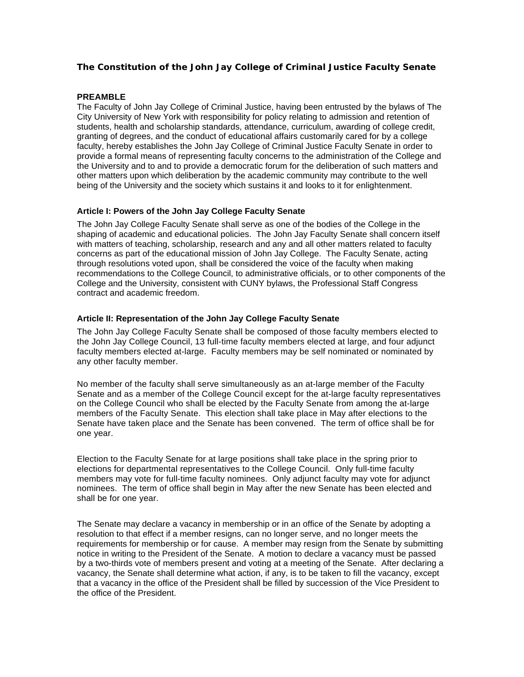# **The Constitution of the John Jay College of Criminal Justice Faculty Senate**

#### **PREAMBLE**

The Faculty of John Jay College of Criminal Justice, having been entrusted by the bylaws of The City University of New York with responsibility for policy relating to admission and retention of students, health and scholarship standards, attendance, curriculum, awarding of college credit, granting of degrees, and the conduct of educational affairs customarily cared for by a college faculty, hereby establishes the John Jay College of Criminal Justice Faculty Senate in order to provide a formal means of representing faculty concerns to the administration of the College and the University and to and to provide a democratic forum for the deliberation of such matters and other matters upon which deliberation by the academic community may contribute to the well being of the University and the society which sustains it and looks to it for enlightenment.

#### **Article I: Powers of the John Jay College Faculty Senate**

The John Jay College Faculty Senate shall serve as one of the bodies of the College in the shaping of academic and educational policies. The John Jay Faculty Senate shall concern itself with matters of teaching, scholarship, research and any and all other matters related to faculty concerns as part of the educational mission of John Jay College. The Faculty Senate, acting through resolutions voted upon, shall be considered the voice of the faculty when making recommendations to the College Council, to administrative officials, or to other components of the College and the University, consistent with CUNY bylaws, the Professional Staff Congress contract and academic freedom.

#### **Article II: Representation of the John Jay College Faculty Senate**

The John Jay College Faculty Senate shall be composed of those faculty members elected to the John Jay College Council, 13 full-time faculty members elected at large, and four adjunct faculty members elected at-large. Faculty members may be self nominated or nominated by any other faculty member.

No member of the faculty shall serve simultaneously as an at-large member of the Faculty Senate and as a member of the College Council except for the at-large faculty representatives on the College Council who shall be elected by the Faculty Senate from among the at-large members of the Faculty Senate. This election shall take place in May after elections to the Senate have taken place and the Senate has been convened. The term of office shall be for one year.

Election to the Faculty Senate for at large positions shall take place in the spring prior to elections for departmental representatives to the College Council. Only full-time faculty members may vote for full-time faculty nominees. Only adjunct faculty may vote for adjunct nominees. The term of office shall begin in May after the new Senate has been elected and shall be for one year.

The Senate may declare a vacancy in membership or in an office of the Senate by adopting a resolution to that effect if a member resigns, can no longer serve, and no longer meets the requirements for membership or for cause. A member may resign from the Senate by submitting notice in writing to the President of the Senate. A motion to declare a vacancy must be passed by a two-thirds vote of members present and voting at a meeting of the Senate. After declaring a vacancy, the Senate shall determine what action, if any, is to be taken to fill the vacancy, except that a vacancy in the office of the President shall be filled by succession of the Vice President to the office of the President.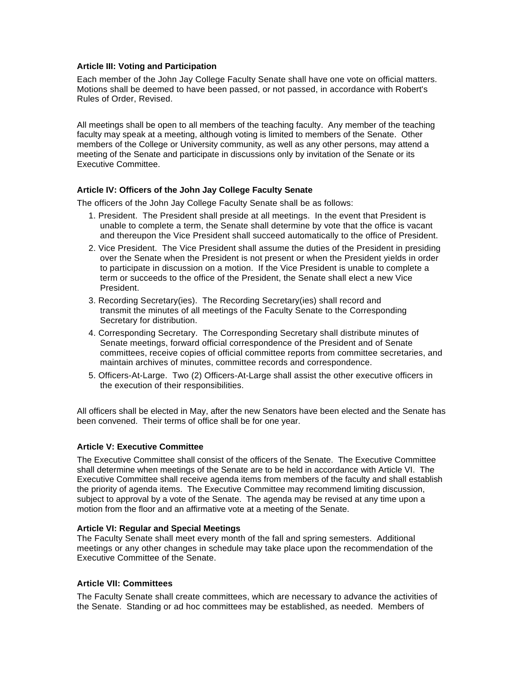### **Article III: Voting and Participation**

Each member of the John Jay College Faculty Senate shall have one vote on official matters. Motions shall be deemed to have been passed, or not passed, in accordance with Robert's Rules of Order, Revised.

All meetings shall be open to all members of the teaching faculty. Any member of the teaching faculty may speak at a meeting, although voting is limited to members of the Senate. Other members of the College or University community, as well as any other persons, may attend a meeting of the Senate and participate in discussions only by invitation of the Senate or its Executive Committee.

## **Article IV: Officers of the John Jay College Faculty Senate**

The officers of the John Jay College Faculty Senate shall be as follows:

- 1. President. The President shall preside at all meetings. In the event that President is unable to complete a term, the Senate shall determine by vote that the office is vacant and thereupon the Vice President shall succeed automatically to the office of President.
- 2. Vice President. The Vice President shall assume the duties of the President in presiding over the Senate when the President is not present or when the President yields in order to participate in discussion on a motion. If the Vice President is unable to complete a term or succeeds to the office of the President, the Senate shall elect a new Vice President.
- 3. Recording Secretary(ies). The Recording Secretary(ies) shall record and transmit the minutes of all meetings of the Faculty Senate to the Corresponding Secretary for distribution.
- 4. Corresponding Secretary. The Corresponding Secretary shall distribute minutes of Senate meetings, forward official correspondence of the President and of Senate committees, receive copies of official committee reports from committee secretaries, and maintain archives of minutes, committee records and correspondence.
- 5. Officers-At-Large. Two (2) Officers-At-Large shall assist the other executive officers in the execution of their responsibilities.

All officers shall be elected in May, after the new Senators have been elected and the Senate has been convened. Their terms of office shall be for one year.

## **Article V: Executive Committee**

The Executive Committee shall consist of the officers of the Senate. The Executive Committee shall determine when meetings of the Senate are to be held in accordance with Article VI. The Executive Committee shall receive agenda items from members of the faculty and shall establish the priority of agenda items. The Executive Committee may recommend limiting discussion, subject to approval by a vote of the Senate. The agenda may be revised at any time upon a motion from the floor and an affirmative vote at a meeting of the Senate.

### **Article VI: Regular and Special Meetings**

The Faculty Senate shall meet every month of the fall and spring semesters. Additional meetings or any other changes in schedule may take place upon the recommendation of the Executive Committee of the Senate.

### **Article VII: Committees**

The Faculty Senate shall create committees, which are necessary to advance the activities of the Senate. Standing or ad hoc committees may be established, as needed. Members of